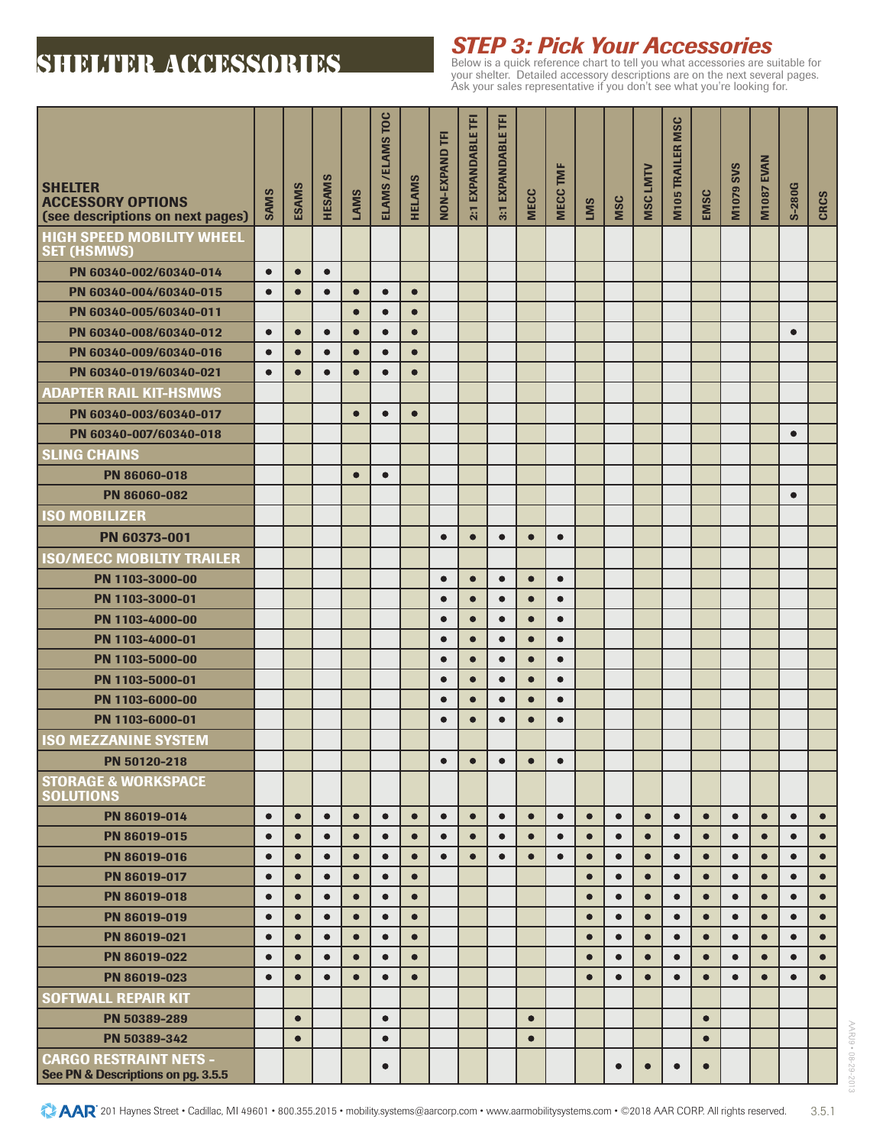## **SHELTER ACCESSORIES**

# *STEP 3: Pick Your Accessories* Below is a quick reference chart to tell you what accessories are suitable for

your shelter. Detailed accessory descriptions are on the next several pages. Ask your sales representative if you don't see what you're looking for.

| <b>SHELTER</b><br><b>ACCESSORY OPTIONS</b><br>(see descriptions on next pages) | <b>SAMS</b> | <b>ESAMS</b> | <b>HESAMS</b> | LAMS      | ELAMS / ELAMS TOC | <b>HELAMS</b> | NON-EXPAND TFI         | E<br>2:1 EXPANDABLE    | Ē<br>3:1 EXPANDABLE    | <b>MECC</b>            | TMF<br><b>MECC</b>     | <b>LMS</b> | MSC       | <b>MSC LMTV</b> | <b>M105 TRAILER MSC</b> | EMSC      | <b>M1079 SVS</b> | <b>EVAN</b><br><b>M1087</b> | <b>S-280G</b> | <b>CRCS</b> |
|--------------------------------------------------------------------------------|-------------|--------------|---------------|-----------|-------------------|---------------|------------------------|------------------------|------------------------|------------------------|------------------------|------------|-----------|-----------------|-------------------------|-----------|------------------|-----------------------------|---------------|-------------|
| <b>HIGH SPEED MOBILITY WHEEL</b><br><b>SET (HSMWS)</b>                         |             |              |               |           |                   |               |                        |                        |                        |                        |                        |            |           |                 |                         |           |                  |                             |               |             |
| PN 60340-002/60340-014                                                         | $\bullet$   | $\bullet$    | $\bullet$     |           |                   |               |                        |                        |                        |                        |                        |            |           |                 |                         |           |                  |                             |               |             |
| PN 60340-004/60340-015                                                         | $\bullet$   | $\bullet$    | $\bullet$     | $\bullet$ | $\bullet$         | $\bullet$     |                        |                        |                        |                        |                        |            |           |                 |                         |           |                  |                             |               |             |
| PN 60340-005/60340-011                                                         |             |              |               | $\bullet$ | $\bullet$         | $\bullet$     |                        |                        |                        |                        |                        |            |           |                 |                         |           |                  |                             |               |             |
| PN 60340-008/60340-012                                                         | $\bullet$   | $\bullet$    | $\bullet$     | $\bullet$ | $\bullet$         | $\bullet$     |                        |                        |                        |                        |                        |            |           |                 |                         |           |                  |                             | $\bullet$     |             |
| PN 60340-009/60340-016                                                         | $\bullet$   | $\bullet$    | $\bullet$     | $\bullet$ | $\bullet$         | $\bullet$     |                        |                        |                        |                        |                        |            |           |                 |                         |           |                  |                             |               |             |
| PN 60340-019/60340-021                                                         | $\bullet$   | $\bullet$    | $\bullet$     | $\bullet$ | $\bullet$         | $\bullet$     |                        |                        |                        |                        |                        |            |           |                 |                         |           |                  |                             |               |             |
| <b>ADAPTER RAIL KIT-HSMWS</b>                                                  |             |              |               |           |                   |               |                        |                        |                        |                        |                        |            |           |                 |                         |           |                  |                             |               |             |
| PN 60340-003/60340-017                                                         |             |              |               | $\bullet$ | $\bullet$         | $\bullet$     |                        |                        |                        |                        |                        |            |           |                 |                         |           |                  |                             |               |             |
| PN 60340-007/60340-018                                                         |             |              |               |           |                   |               |                        |                        |                        |                        |                        |            |           |                 |                         |           |                  |                             | $\bullet$     |             |
| <b>SLING CHAINS</b>                                                            |             |              |               |           |                   |               |                        |                        |                        |                        |                        |            |           |                 |                         |           |                  |                             |               |             |
| PN 86060-018                                                                   |             |              |               | $\bullet$ | $\bullet$         |               |                        |                        |                        |                        |                        |            |           |                 |                         |           |                  |                             |               |             |
| PN 86060-082                                                                   |             |              |               |           |                   |               |                        |                        |                        |                        |                        |            |           |                 |                         |           |                  |                             | $\bullet$     |             |
| <b>ISO MOBILIZER</b>                                                           |             |              |               |           |                   |               |                        |                        |                        |                        |                        |            |           |                 |                         |           |                  |                             |               |             |
| PN 60373-001                                                                   |             |              |               |           |                   |               | $\bullet$              | $\bullet$              | $\bullet$              | $\bullet$              | $\bullet$              |            |           |                 |                         |           |                  |                             |               |             |
| <b>ISO/MECC MOBILTIY TRAILER</b>                                               |             |              |               |           |                   |               |                        |                        |                        |                        |                        |            |           |                 |                         |           |                  |                             |               |             |
| PN 1103-3000-00                                                                |             |              |               |           |                   |               | $\bullet$              | $\bullet$              | $\bullet$              | $\bullet$              | $\bullet$              |            |           |                 |                         |           |                  |                             |               |             |
| PN 1103-3000-01                                                                |             |              |               |           |                   |               | $\bullet$              | $\bullet$              | $\bullet$              | $\bullet$              | $\bullet$              |            |           |                 |                         |           |                  |                             |               |             |
| PN 1103-4000-00                                                                |             |              |               |           |                   |               | $\bullet$              | $\bullet$              | $\bullet$              | $\bullet$              | $\bullet$              |            |           |                 |                         |           |                  |                             |               |             |
| PN 1103-4000-01                                                                |             |              |               |           |                   |               | $\bullet$              | $\bullet$              | $\bullet$              | $\bullet$              | $\bullet$              |            |           |                 |                         |           |                  |                             |               |             |
| PN 1103-5000-00                                                                |             |              |               |           |                   |               | $\bullet$<br>$\bullet$ | $\bullet$<br>$\bullet$ | $\bullet$<br>$\bullet$ | $\bullet$<br>$\bullet$ | $\bullet$<br>$\bullet$ |            |           |                 |                         |           |                  |                             |               |             |
| PN 1103-5000-01<br>PN 1103-6000-00                                             |             |              |               |           |                   |               | $\bullet$              | $\bullet$              | $\bullet$              | $\bullet$              | $\bullet$              |            |           |                 |                         |           |                  |                             |               |             |
| PN 1103-6000-01                                                                |             |              |               |           |                   |               | $\bullet$              | $\bullet$              | $\bullet$              | $\bullet$              | $\bullet$              |            |           |                 |                         |           |                  |                             |               |             |
| <b>ISO MEZZANINE SYSTEM</b>                                                    |             |              |               |           |                   |               |                        |                        |                        |                        |                        |            |           |                 |                         |           |                  |                             |               |             |
| PN 50120-218                                                                   |             |              |               |           |                   |               | $\bullet$              | $\bullet$              | $\bullet$              | $\bullet$              | $\bullet$              |            |           |                 |                         |           |                  |                             |               |             |
| <b>STORAGE &amp; WORKSPACE</b><br><b>SOLUTIONS</b>                             |             |              |               |           |                   |               |                        |                        |                        |                        |                        |            |           |                 |                         |           |                  |                             |               |             |
| PN 86019-014                                                                   | $\bullet$   | $\bullet$    | $\bullet$     | $\bullet$ | $\bullet$         | $\bullet$     | $\bullet$              | $\bullet$              | $\bullet$              | $\bullet$              | $\bullet$              | $\bullet$  | $\bullet$ | $\bullet$       | $\bullet$               | $\bullet$ | $\bullet$        | $\bullet$                   | $\bullet$     | $\bullet$   |
| PN 86019-015                                                                   | $\bullet$   | $\bullet$    | $\bullet$     | $\bullet$ | $\bullet$         | $\bullet$     | $\bullet$              | $\bullet$              | $\bullet$              | $\bullet$              | $\bullet$              | $\bullet$  | $\bullet$ | $\bullet$       | $\bullet$               | $\bullet$ | $\bullet$        | $\bullet$                   | $\bullet$     | $\bullet$   |
| PN 86019-016                                                                   | $\bullet$   | $\bullet$    | $\bullet$     | $\bullet$ | $\bullet$         | $\bullet$     | $\bullet$              | $\bullet$              | $\bullet$              | $\bullet$              | $\bullet$              | $\bullet$  | $\bullet$ | $\bullet$       | $\bullet$               | $\bullet$ | $\bullet$        | $\bullet$                   | $\bullet$     | $\bullet$   |
| PN 86019-017                                                                   | $\bullet$   | $\bullet$    | $\bullet$     | $\bullet$ | $\bullet$         | $\bullet$     |                        |                        |                        |                        |                        | $\bullet$  | $\bullet$ | $\bullet$       | $\bullet$               | $\bullet$ | $\bullet$        | $\bullet$                   | $\bullet$     | $\bullet$   |
| PN 86019-018                                                                   | $\bullet$   | $\bullet$    | $\bullet$     | $\bullet$ | $\bullet$         | $\bullet$     |                        |                        |                        |                        |                        | $\bullet$  | $\bullet$ | $\bullet$       | $\bullet$               | $\bullet$ | $\bullet$        | $\bullet$                   | $\bullet$     | $\bullet$   |
| PN 86019-019                                                                   | $\bullet$   | $\bullet$    | $\bullet$     | $\bullet$ | $\bullet$         | $\bullet$     |                        |                        |                        |                        |                        | $\bullet$  | $\bullet$ | $\bullet$       | $\bullet$               | $\bullet$ | $\bullet$        | $\bullet$                   | $\bullet$     | $\bullet$   |
| PN 86019-021                                                                   | $\bullet$   | $\bullet$    | $\bullet$     | $\bullet$ | $\bullet$         | $\bullet$     |                        |                        |                        |                        |                        | $\bullet$  | $\bullet$ | $\bullet$       | $\bullet$               | $\bullet$ | $\bullet$        | $\bullet$                   | $\bullet$     | $\bullet$   |
| PN 86019-022                                                                   | $\bullet$   | $\bullet$    | $\bullet$     | $\bullet$ | $\bullet$         | $\bullet$     |                        |                        |                        |                        |                        | $\bullet$  | $\bullet$ | $\bullet$       | $\bullet$               | $\bullet$ | $\bullet$        | $\bullet$                   | $\bullet$     | $\bullet$   |
| PN 86019-023                                                                   | $\bullet$   | $\bullet$    | $\bullet$     | $\bullet$ | $\bullet$         | $\bullet$     |                        |                        |                        |                        |                        | $\bullet$  | $\bullet$ | $\bullet$       | $\bullet$               | $\bullet$ | $\bullet$        | $\bullet$                   | $\bullet$     | $\bullet$   |
| <b>SOFTWALL REPAIR KIT</b>                                                     |             |              |               |           |                   |               |                        |                        |                        |                        |                        |            |           |                 |                         |           |                  |                             |               |             |
| PN 50389-289                                                                   |             | $\bullet$    |               |           | $\bullet$         |               |                        |                        |                        | $\bullet$              |                        |            |           |                 |                         | $\bullet$ |                  |                             |               |             |
| PN 50389-342                                                                   |             | $\bullet$    |               |           | $\bullet$         |               |                        |                        |                        | $\bullet$              |                        |            |           |                 |                         | $\bullet$ |                  |                             |               |             |
| <b>CARGO RESTRAINT NETS -</b><br>See PN & Descriptions on pg. 3.5.5            |             |              |               |           | $\bullet$         |               |                        |                        |                        |                        |                        |            | $\bullet$ | $\bullet$       | $\bullet$               | $\bullet$ |                  |                             |               |             |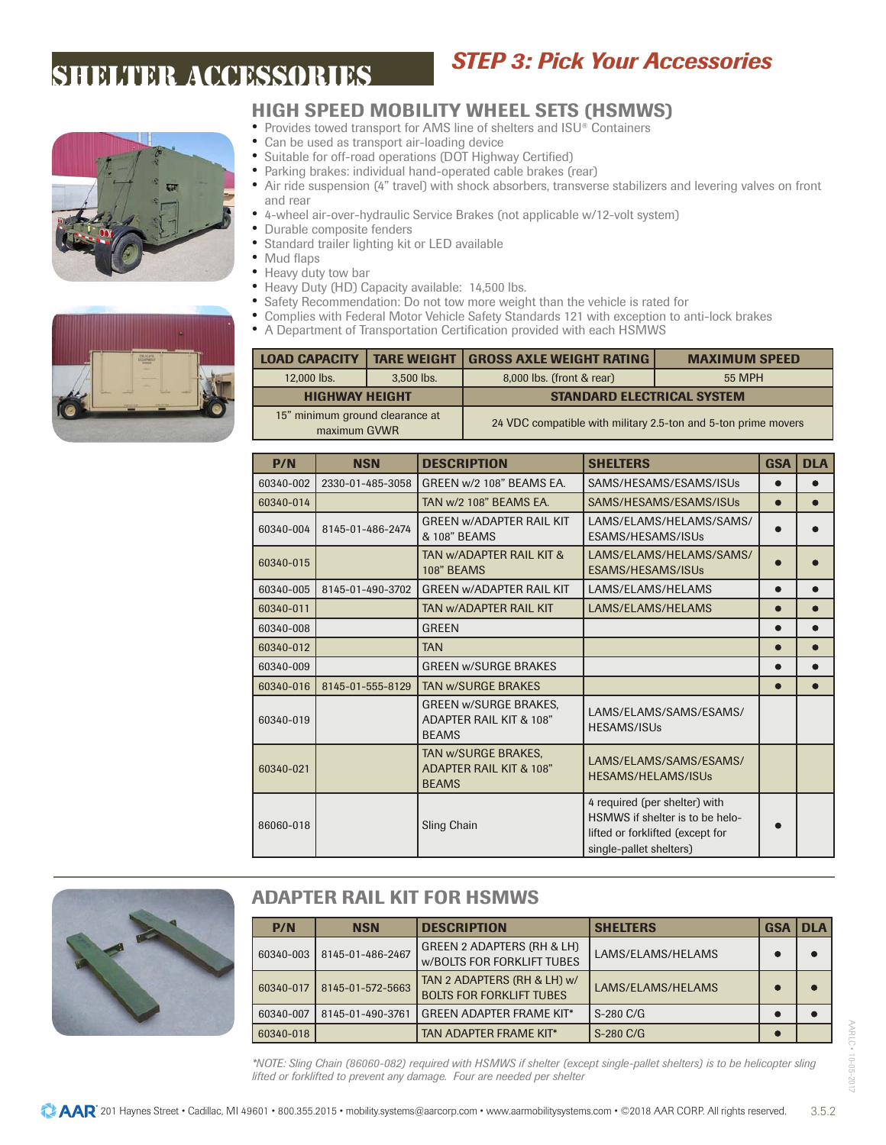

## *STEP 3: Pick Your Accessories*

## HIGH SPEED MOBILITY WHEEL SETS (HSMWS)

- Provides towed transport for AMS line of shelters and ISU® Containers
- Can be used as transport air-loading device
- Suitable for off-road operations (DOT Highway Certified)<br>• Parking brakes: individual band, operated cable brakes (r
- Parking brakes: individual hand-operated cable brakes (rear)
- Air ride suspension (4" travel) with shock absorbers, transverse stabilizers and levering valves on front and rear
- 4-wheel air-over-hydraulic Service Brakes (not applicable w/12-volt system)
- Durable composite fenders<br>• Standard trailer lighting kit
- Standard trailer lighting kit or LED available<br>• Mud flans
- Mud flaps
- Heavy duty tow bar<br>• Heavy Duty (HD) Ca
- Heavy Duty (HD) Capacity available: 14,500 lbs.<br>• Safety Becommendation: Do not tow more weight
- Safety Recommendation: Do not tow more weight than the vehicle is rated for<br>• Complies with Federal Motor Vehicle Safety Standards 121 with exception to a
- Complies with Federal Motor Vehicle Safety Standards 121 with exception to anti-lock brakes<br>• A Department of Transportation Certification provided with each HSMWS
- A Department of Transportation Certification provided with each HSMWS

| <b>LOAD CAPACITY</b>                            | <b>TARE WEIGHT</b> | <b>GROSS AXLE WEIGHT RATING</b>                                | <b>MAXIMUM SPEED</b> |
|-------------------------------------------------|--------------------|----------------------------------------------------------------|----------------------|
| 12,000 lbs.                                     | 3.500 lbs.         | 8,000 lbs. (front & rear)                                      | 55 MPH               |
| <b>HIGHWAY HEIGHT</b>                           |                    | <b>STANDARD ELECTRICAL SYSTEM</b>                              |                      |
| 15" minimum ground clearance at<br>maximum GVWR |                    | 24 VDC compatible with military 2.5-ton and 5-ton prime movers |                      |

| P/N       | <b>NSN</b>       | <b>DESCRIPTION</b>                                                      | <b>SHELTERS</b>                                                                                                                 | <b>GSA</b> | <b>DLA</b> |
|-----------|------------------|-------------------------------------------------------------------------|---------------------------------------------------------------------------------------------------------------------------------|------------|------------|
| 60340-002 | 2330-01-485-3058 | GREEN w/2 108" BEAMS EA.                                                | SAMS/HESAMS/ESAMS/ISUs                                                                                                          |            |            |
| 60340-014 |                  | TAN w/2 108" BEAMS EA.                                                  | SAMS/HESAMS/ESAMS/ISUs                                                                                                          | $\bullet$  | $\bullet$  |
| 60340-004 | 8145-01-486-2474 | <b>GREEN W/ADAPTER RAIL KIT</b><br>& 108" BEAMS                         | LAMS/ELAMS/HELAMS/SAMS/<br>ESAMS/HESAMS/ISUs                                                                                    |            |            |
| 60340-015 |                  | TAN W/ADAPTER RAIL KIT &<br>108" BEAMS                                  | LAMS/ELAMS/HELAMS/SAMS/<br>ESAMS/HESAMS/ISUs                                                                                    |            |            |
| 60340-005 | 8145-01-490-3702 | <b>GREEN W/ADAPTER RAIL KIT</b>                                         | LAMS/ELAMS/HELAMS                                                                                                               | $\bullet$  |            |
| 60340-011 |                  | TAN W/ADAPTER RAIL KIT                                                  | LAMS/ELAMS/HELAMS                                                                                                               |            |            |
| 60340-008 |                  | <b>GREEN</b>                                                            |                                                                                                                                 | $\bullet$  |            |
| 60340-012 |                  | <b>TAN</b>                                                              |                                                                                                                                 |            |            |
| 60340-009 |                  | <b>GREEN w/SURGE BRAKES</b>                                             |                                                                                                                                 |            |            |
| 60340-016 | 8145-01-555-8129 | <b>TAN W/SURGE BRAKES</b>                                               |                                                                                                                                 |            |            |
| 60340-019 |                  | <b>GREEN w/SURGE BRAKES.</b><br>ADAPTER RAIL KIT & 108"<br><b>BEAMS</b> | LAMS/ELAMS/SAMS/ESAMS/<br><b>HESAMS/ISUs</b>                                                                                    |            |            |
| 60340-021 |                  | TAN W/SURGE BRAKES.<br>ADAPTER RAIL KIT & 108"<br><b>BEAMS</b>          | LAMS/ELAMS/SAMS/ESAMS/<br>HESAMS/HELAMS/ISUs                                                                                    |            |            |
| 86060-018 |                  | <b>Sling Chain</b>                                                      | 4 required (per shelter) with<br>HSMWS if shelter is to be helo-<br>lifted or forklifted (except for<br>single-pallet shelters) |            |            |



## ADAPTER RAIL KIT FOR HSMWS

| P/N       | <b>NSN</b>       | <b>DESCRIPTION</b>                                              | <b>SHELTERS</b>   | <b>GSA</b> | <b>DLA</b> |
|-----------|------------------|-----------------------------------------------------------------|-------------------|------------|------------|
| 60340-003 | 8145-01-486-2467 | GREEN 2 ADAPTERS (RH & LH)<br><b>W/BOLTS FOR FORKLIFT TUBES</b> | LAMS/ELAMS/HELAMS |            |            |
| 60340-017 | 8145-01-572-5663 | TAN 2 ADAPTERS (RH & LH) w/<br><b>BOLTS FOR FORKLIFT TUBES</b>  | LAMS/ELAMS/HELAMS |            |            |
| 60340-007 | 8145-01-490-3761 | <b>GREEN ADAPTER FRAME KIT*</b>                                 | $S-280 C/G$       |            |            |
| 60340-018 |                  | TAN ADAPTER FRAME KIT*                                          | $S-280 C/G$       |            |            |

*\*NOTE: Sling Chain (86060-082) required with HSMWS if shelter (except single-pallet shelters) is to be helicopter sling lifted or forklifted to prevent any damage. Four are needed per shelter*

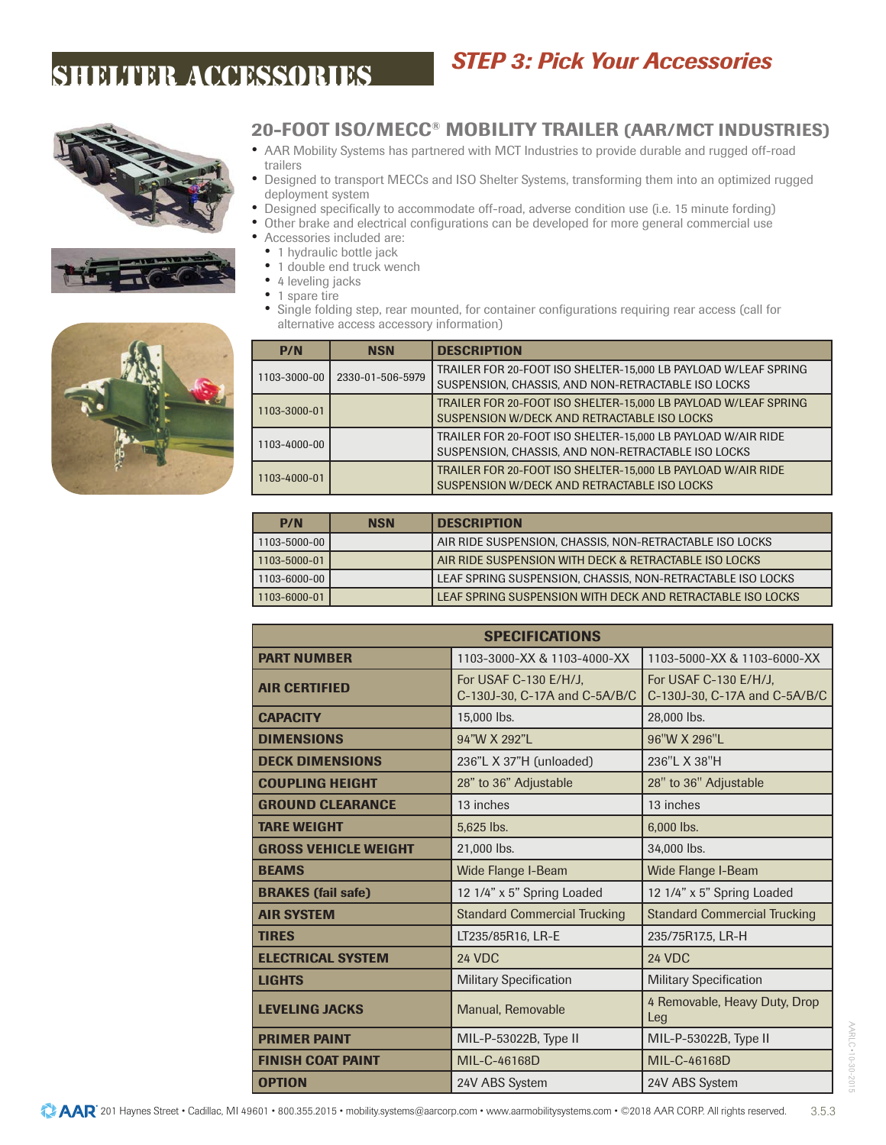





20-FOOT ISO/MECC® MOBILITY TRAILER (AAR/MCT INDUSTRIES)

*STEP 3: Pick Your Accessories*

- AAR Mobility Systems has partnered with MCT Industries to provide durable and rugged off-road trailers
- Designed to transport MECCs and ISO Shelter Systems, transforming them into an optimized rugged deployment system
- Designed specifically to accommodate off-road, adverse condition use (i.e. 15 minute fording)
- Other brake and electrical configurations can be developed for more general commercial use
	- Accessories included are:
	- 1 hydraulic bottle jack
	- 1 double end truck wench
	- 4 leveling jacks<br>• 1 spare tire
	- 1 spare tire
	- Single folding step, rear mounted, for container configurations requiring rear access (call for alternative access accessory information)

| P/N          | <b>NSN</b>       | <b>DESCRIPTION</b>                                                                                                    |
|--------------|------------------|-----------------------------------------------------------------------------------------------------------------------|
| 1103-3000-00 | 2330-01-506-5979 | TRAILER FOR 20-FOOT ISO SHELTER-15,000 LB PAYLOAD W/LEAF SPRING<br>SUSPENSION, CHASSIS, AND NON-RETRACTABLE ISO LOCKS |
| 1103-3000-01 |                  | TRAILER FOR 20-FOOT ISO SHELTER-15.000 LB PAYLOAD W/LEAF SPRING<br>SUSPENSION W/DECK AND RETRACTABLE ISO LOCKS        |
| 1103-4000-00 |                  | TRAILER FOR 20-FOOT ISO SHELTER-15.000 LB PAYLOAD W/AIR RIDE<br>SUSPENSION, CHASSIS, AND NON-RETRACTABLE ISO LOCKS    |
| 1103-4000-01 |                  | TRAILER FOR 20-FOOT ISO SHELTER-15,000 LB PAYLOAD W/AIR RIDE<br>SUSPENSION W/DECK AND RETRACTABLE ISO LOCKS           |

| <b>P/N</b>   | <b>NSN</b> | <b>DESCRIPTION</b>                                         |
|--------------|------------|------------------------------------------------------------|
| 1103-5000-00 |            | AIR RIDE SUSPENSION. CHASSIS. NON-RETRACTABLE ISO LOCKS    |
| 1103-5000-01 |            | AIR RIDE SUSPENSION WITH DECK & RETRACTABLE ISO LOCKS      |
| 1103-6000-00 |            | LEAF SPRING SUSPENSION, CHASSIS, NON-RETRACTABLE ISO LOCKS |
| 1103-6000-01 |            | LEAF SPRING SUSPENSION WITH DECK AND RETRACTABLE ISO LOCKS |

|                             | <b>SPECIFICATIONS</b>                                  |                                                        |
|-----------------------------|--------------------------------------------------------|--------------------------------------------------------|
| <b>PART NUMBER</b>          | 1103-3000-XX & 1103-4000-XX                            | 1103-5000-XX & 1103-6000-XX                            |
| <b>AIR CERTIFIED</b>        | For USAF C-130 E/H/J,<br>C-130J-30, C-17A and C-5A/B/C | For USAF C-130 E/H/J,<br>C-130J-30, C-17A and C-5A/B/C |
| <b>CAPACITY</b>             | 15,000 lbs.                                            | 28,000 lbs.                                            |
| <b>DIMENSIONS</b>           | 94"W X 292"I                                           | 96"W X 296"L                                           |
| <b>DECK DIMENSIONS</b>      | 236"L X 37"H (unloaded)                                | 236"L X 38"H                                           |
| <b>COUPLING HEIGHT</b>      | 28" to 36" Adjustable                                  | 28" to 36" Adjustable                                  |
| <b>GROUND CLEARANCE</b>     | 13 inches                                              | 13 inches                                              |
| <b>TARE WEIGHT</b>          | 5,625 lbs.                                             | 6,000 lbs.                                             |
| <b>GROSS VEHICLE WEIGHT</b> | 21,000 lbs.                                            | 34,000 lbs.                                            |
| <b>BEAMS</b>                | Wide Flange I-Beam                                     | Wide Flange I-Beam                                     |
| <b>BRAKES</b> (fail safe)   | 12 1/4" x 5" Spring Loaded                             | 12 1/4" x 5" Spring Loaded                             |
| <b>AIR SYSTEM</b>           | <b>Standard Commercial Trucking</b>                    | <b>Standard Commercial Trucking</b>                    |
| <b>TIRES</b>                | LT235/85R16, LR-E                                      | 235/75R17.5, LR-H                                      |
| <b>ELECTRICAL SYSTEM</b>    | 24 VDC                                                 | 24 VDC                                                 |
| <b>LIGHTS</b>               | <b>Military Specification</b>                          | <b>Military Specification</b>                          |
| <b>LEVELING JACKS</b>       | Manual, Removable                                      | 4 Removable, Heavy Duty, Drop<br>Leg                   |
| <b>PRIMER PAINT</b>         | MIL-P-53022B, Type II                                  | MIL-P-53022B, Type II                                  |
| <b>FINISH COAT PAINT</b>    | MIL-C-46168D                                           | MIL-C-46168D                                           |
| <b>OPTION</b>               | 24V ABS System                                         | 24V ABS System                                         |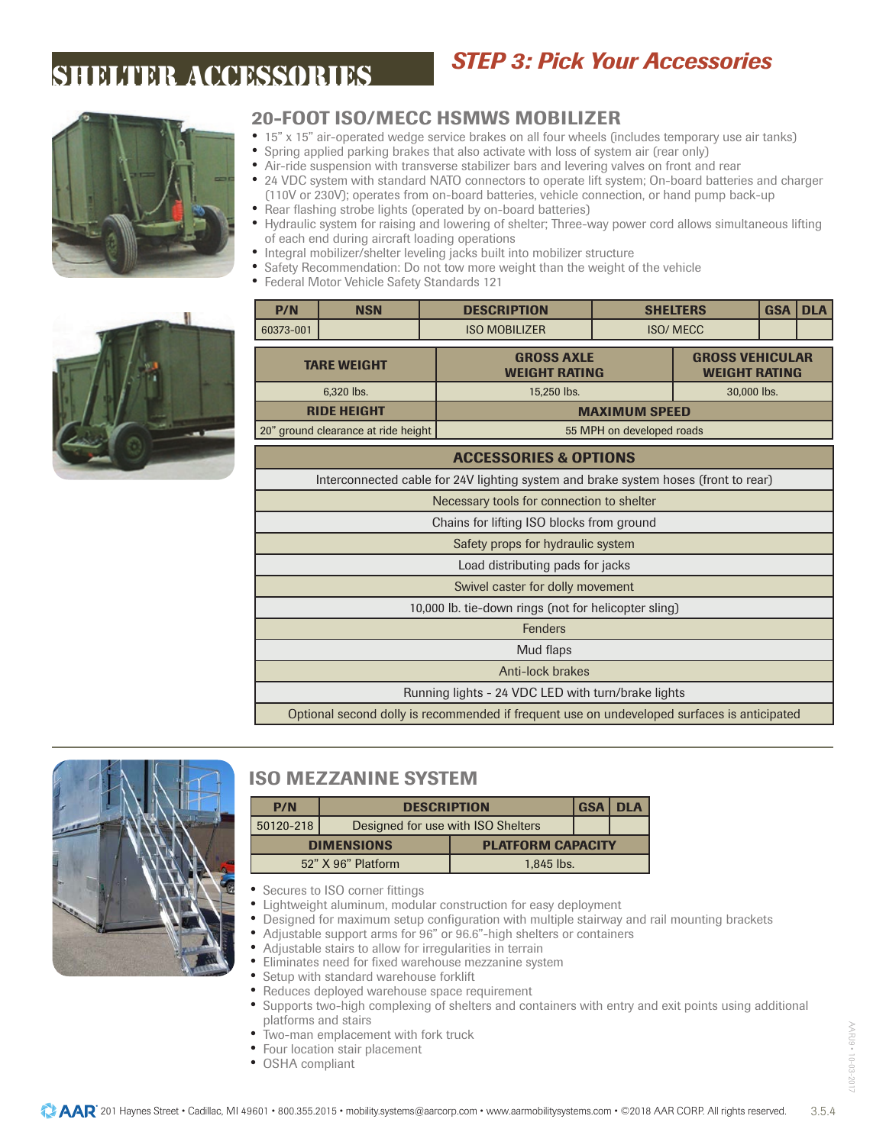## *STEP 3: Pick Your Accessories*



### 20-FOOT ISO/MECC HSMWS MOBILIZER

- 15" x 15" air-operated wedge service brakes on all four wheels (includes temporary use air tanks)
	- Spring applied parking brakes that also activate with loss of system air (rear only)
	- Air-ride suspension with transverse stabilizer bars and levering valves on front and rear<br>• 24 VDC system with standard NATO connectors to operate lift system: On-board batteric
	- 24 VDC system with standard NATO connectors to operate lift system; On-board batteries and charger (110V or 230V); operates from on-board batteries, vehicle connection, or hand pump back-up
	- Rear flashing strobe lights (operated by on-board batteries)<br>• Hydraulic system for raising and lowering of shelter: Three-w • Hydraulic system for raising and lowering of shelter; Three-way power cord allows simultaneous lifting of each end during aircraft loading operations
	- Integral mobilizer/shelter leveling jacks built into mobilizer structure
	- Safety Recommendation: Do not tow more weight than the weight of the vehicle<br>• Federal Motor Vehicle Safety Standards 121
	- Federal Motor Vehicle Safety Standards 121

| P/N       | <b>NSN</b>                          | <b>DESCRIPTION</b>                                                                          |                                           | <b>SHELTERS</b> | <b>DLA</b> |                                                |  |
|-----------|-------------------------------------|---------------------------------------------------------------------------------------------|-------------------------------------------|-----------------|------------|------------------------------------------------|--|
| 60373-001 |                                     | <b>ISO MOBILIZER</b>                                                                        |                                           | <b>ISO/MECC</b> |            |                                                |  |
|           | <b>TARE WEIGHT</b>                  |                                                                                             | <b>GROSS AXLE</b><br><b>WEIGHT RATING</b> |                 |            | <b>GROSS VEHICULAR</b><br><b>WEIGHT RATING</b> |  |
|           | 6,320 lbs.                          | 15,250 lbs.                                                                                 | 30,000 lbs.                               |                 |            |                                                |  |
|           | <b>RIDE HEIGHT</b>                  |                                                                                             | <b>MAXIMUM SPEED</b>                      |                 |            |                                                |  |
|           | 20" ground clearance at ride height |                                                                                             | 55 MPH on developed roads                 |                 |            |                                                |  |
|           |                                     | <b>ACCESSORIES &amp; OPTIONS</b>                                                            |                                           |                 |            |                                                |  |
|           |                                     | Interconnected cable for 24V lighting system and brake system hoses (front to rear)         |                                           |                 |            |                                                |  |
|           |                                     | Necessary tools for connection to shelter                                                   |                                           |                 |            |                                                |  |
|           |                                     | Chains for lifting ISO blocks from ground                                                   |                                           |                 |            |                                                |  |
|           |                                     | Safety props for hydraulic system                                                           |                                           |                 |            |                                                |  |
|           |                                     | Load distributing pads for jacks                                                            |                                           |                 |            |                                                |  |
|           |                                     | Swivel caster for dolly movement                                                            |                                           |                 |            |                                                |  |
|           |                                     | 10,000 lb. tie-down rings (not for helicopter sling)                                        |                                           |                 |            |                                                |  |
|           |                                     | Fenders                                                                                     |                                           |                 |            |                                                |  |
|           |                                     | Mud flaps                                                                                   |                                           |                 |            |                                                |  |
|           |                                     | <b>Anti-lock brakes</b>                                                                     |                                           |                 |            |                                                |  |
|           |                                     | Running lights - 24 VDC LED with turn/brake lights                                          |                                           |                 |            |                                                |  |
|           |                                     | Optional second dolly is recommended if frequent use on undeveloped surfaces is anticipated |                                           |                 |            |                                                |  |



## ISO MEZZANINE SYSTEM

| P/N       | <b>DESCRIPTION</b>                 | <b>GSA DLA</b>           |  |  |
|-----------|------------------------------------|--------------------------|--|--|
| 50120-218 | Designed for use with ISO Shelters |                          |  |  |
|           | <b>DIMENSIONS</b>                  | <b>PLATFORM CAPACITY</b> |  |  |
|           | 52" X 96" Platform                 | 1.845 lbs.               |  |  |

- Secures to ISO corner fittings
- Lightweight aluminum, modular construction for easy deployment
- Designed for maximum setup configuration with multiple stairway and rail mounting brackets
- Adjustable support arms for 96" or 96.6"-high shelters or containers
- Adjustable stairs to allow for irregularities in terrain
- Eliminates need for fixed warehouse mezzanine system
- Setup with standard warehouse forklift<br>• Reduces deployed warehouse space re
- Reduces deployed warehouse space requirement
- Supports two-high complexing of shelters and containers with entry and exit points using additional platforms and stairs
- Two-man emplacement with fork truck
- Four location stair placement
- OSHA compliant